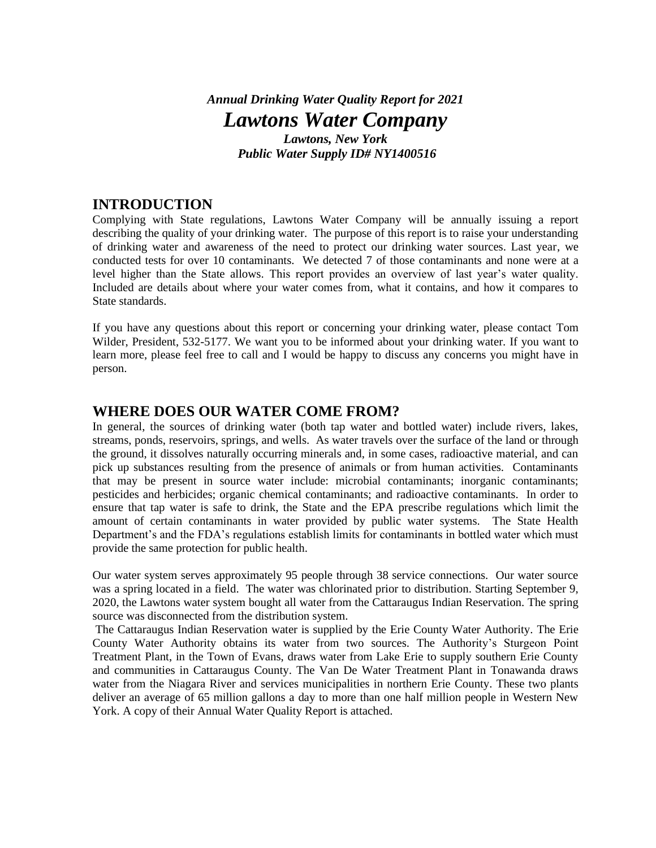### *Annual Drinking Water Quality Report for 2021 Lawtons Water Company Lawtons, New York Public Water Supply ID# NY1400516*

### **INTRODUCTION**

Complying with State regulations, Lawtons Water Company will be annually issuing a report describing the quality of your drinking water. The purpose of this report is to raise your understanding of drinking water and awareness of the need to protect our drinking water sources. Last year, we conducted tests for over 10 contaminants. We detected 7 of those contaminants and none were at a level higher than the State allows. This report provides an overview of last year's water quality. Included are details about where your water comes from, what it contains, and how it compares to State standards.

If you have any questions about this report or concerning your drinking water, please contact Tom Wilder, President, 532-5177. We want you to be informed about your drinking water. If you want to learn more, please feel free to call and I would be happy to discuss any concerns you might have in person.

### **WHERE DOES OUR WATER COME FROM?**

In general, the sources of drinking water (both tap water and bottled water) include rivers, lakes, streams, ponds, reservoirs, springs, and wells. As water travels over the surface of the land or through the ground, it dissolves naturally occurring minerals and, in some cases, radioactive material, and can pick up substances resulting from the presence of animals or from human activities. Contaminants that may be present in source water include: microbial contaminants; inorganic contaminants; pesticides and herbicides; organic chemical contaminants; and radioactive contaminants. In order to ensure that tap water is safe to drink, the State and the EPA prescribe regulations which limit the amount of certain contaminants in water provided by public water systems. The State Health Department's and the FDA's regulations establish limits for contaminants in bottled water which must provide the same protection for public health.

Our water system serves approximately 95 people through 38 service connections. Our water source was a spring located in a field. The water was chlorinated prior to distribution. Starting September 9, 2020, the Lawtons water system bought all water from the Cattaraugus Indian Reservation. The spring source was disconnected from the distribution system.

The Cattaraugus Indian Reservation water is supplied by the Erie County Water Authority. The Erie County Water Authority obtains its water from two sources. The Authority's Sturgeon Point Treatment Plant, in the Town of Evans, draws water from Lake Erie to supply southern Erie County and communities in Cattaraugus County. The Van De Water Treatment Plant in Tonawanda draws water from the Niagara River and services municipalities in northern Erie County. These two plants deliver an average of 65 million gallons a day to more than one half million people in Western New York. A copy of their Annual Water Quality Report is attached.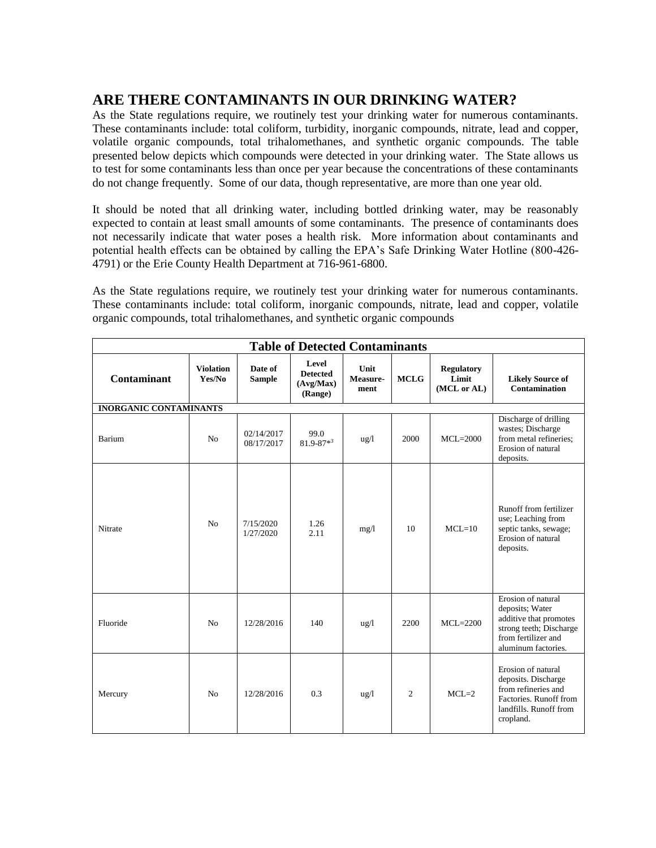## **ARE THERE CONTAMINANTS IN OUR DRINKING WATER?**

As the State regulations require, we routinely test your drinking water for numerous contaminants. These contaminants include: total coliform, turbidity, inorganic compounds, nitrate, lead and copper, volatile organic compounds, total trihalomethanes, and synthetic organic compounds. The table presented below depicts which compounds were detected in your drinking water. The State allows us to test for some contaminants less than once per year because the concentrations of these contaminants do not change frequently. Some of our data, though representative, are more than one year old.

It should be noted that all drinking water, including bottled drinking water, may be reasonably expected to contain at least small amounts of some contaminants. The presence of contaminants does not necessarily indicate that water poses a health risk. More information about contaminants and potential health effects can be obtained by calling the EPA's Safe Drinking Water Hotline (800-426- 4791) or the Erie County Health Department at 716-961-6800.

As the State regulations require, we routinely test your drinking water for numerous contaminants. These contaminants include: total coliform, inorganic compounds, nitrate, lead and copper, volatile organic compounds, total trihalomethanes, and synthetic organic compounds

| <b>Table of Detected Contaminants</b> |                            |                          |                                                  |                          |                |                                           |                                                                                                                                          |  |  |  |  |  |
|---------------------------------------|----------------------------|--------------------------|--------------------------------------------------|--------------------------|----------------|-------------------------------------------|------------------------------------------------------------------------------------------------------------------------------------------|--|--|--|--|--|
| Contaminant                           | <b>Violation</b><br>Yes/No | Date of<br><b>Sample</b> | Level<br><b>Detected</b><br>(Avg/Max)<br>(Range) | Unit<br>Measure-<br>ment | <b>MCLG</b>    | <b>Regulatory</b><br>Limit<br>(MCL or AL) | <b>Likely Source of</b><br><b>Contamination</b>                                                                                          |  |  |  |  |  |
| <b>INORGANIC CONTAMINANTS</b>         |                            |                          |                                                  |                          |                |                                           |                                                                                                                                          |  |  |  |  |  |
| Barium                                | N <sub>o</sub>             | 02/14/2017<br>08/17/2017 | 99.0<br>$81.9 - 87 * 3$                          | $\frac{u g}{l}$          | 2000           | $MCL=2000$                                | Discharge of drilling<br>wastes; Discharge<br>from metal refineries;<br>Erosion of natural<br>deposits.                                  |  |  |  |  |  |
| Nitrate                               | N <sub>o</sub>             | 7/15/2020<br>1/27/2020   | 1.26<br>2.11                                     | mg/1                     | 10             | $MCL = 10$                                | Runoff from fertilizer<br>use; Leaching from<br>septic tanks, sewage;<br>Erosion of natural<br>deposits.                                 |  |  |  |  |  |
| Fluoride                              | N <sub>0</sub>             | 12/28/2016               | 140                                              | $\frac{u g}{l}$          | 2200           | $MCL = 2200$                              | Erosion of natural<br>deposits; Water<br>additive that promotes<br>strong teeth; Discharge<br>from fertilizer and<br>aluminum factories. |  |  |  |  |  |
| Mercury                               | N <sub>o</sub>             | 12/28/2016               | 0.3                                              | $\frac{u g}{l}$          | $\overline{c}$ | $MCL=2$                                   | Erosion of natural<br>deposits. Discharge<br>from refineries and<br>Factories. Runoff from<br>landfills. Runoff from<br>cropland.        |  |  |  |  |  |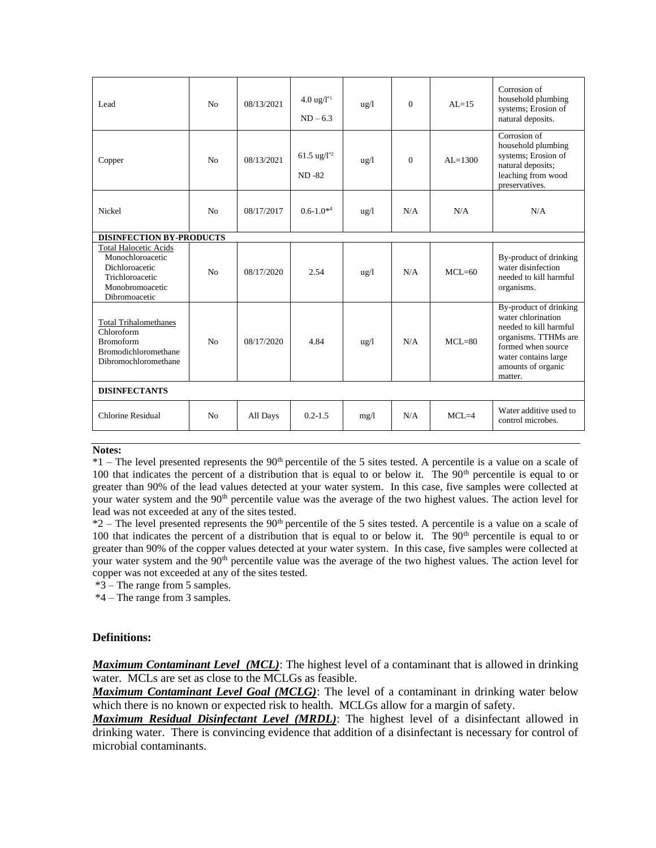| Lead                                                                                                                      | N <sub>0</sub> | 08/13/2021 | $4.0 \text{ ug}/l^{*1}$<br>$ND - 6.3$ | $\frac{u}{g}$   | $\Omega$     | $AI = 15$   | Corrosion of<br>household plumbing<br>systems; Erosion of<br>natural deposits.                                                                                                |  |  |  |
|---------------------------------------------------------------------------------------------------------------------------|----------------|------------|---------------------------------------|-----------------|--------------|-------------|-------------------------------------------------------------------------------------------------------------------------------------------------------------------------------|--|--|--|
| Copper                                                                                                                    | N <sub>0</sub> | 08/13/2021 | 61.5 ug/ $1^{*2}$<br>ND-82            | $\frac{u g}{l}$ | $\mathbf{0}$ | $AI = 1300$ | Corrosion of<br>household plumbing<br>systems; Erosion of<br>natural deposits;<br>leaching from wood<br>preservatives.                                                        |  |  |  |
| Nickel                                                                                                                    | N <sub>o</sub> | 08/17/2017 | $0.6 - 1.0^{*4}$                      | $\frac{u g}{l}$ | N/A          | N/A         | N/A                                                                                                                                                                           |  |  |  |
| <b>DISINFECTION BY-PRODUCTS</b>                                                                                           |                |            |                                       |                 |              |             |                                                                                                                                                                               |  |  |  |
| <b>Total Halocetic Acids</b><br>Monochloroacetic<br>Dichloroacetic<br>Trichloroacetic<br>Monobromoacetic<br>Dibromoacetic | N <sub>0</sub> | 08/17/2020 | 2.54                                  | $\frac{u}{g}$   | N/A          | $MCL=60$    | By-product of drinking<br>water disinfection<br>needed to kill harmful<br>organisms.                                                                                          |  |  |  |
| <b>Total Trihalomethanes</b><br>Chloroform<br><b>Bromoform</b><br><b>Bromodichloromethane</b><br>Dibromochloromethane     | N <sub>0</sub> | 08/17/2020 | 4.84                                  | $\frac{u g}{l}$ | N/A          | $MCL = 80$  | By-product of drinking<br>water chlorination<br>needed to kill harmful<br>organisms. TTHMs are<br>formed when source<br>water contains large<br>amounts of organic<br>matter. |  |  |  |
| <b>DISINFECTANTS</b>                                                                                                      |                |            |                                       |                 |              |             |                                                                                                                                                                               |  |  |  |
| Chlorine Residual                                                                                                         | N <sub>0</sub> | All Days   | $0.2 - 1.5$                           | mg/1            | N/A          | $MCL=4$     | Water additive used to<br>control microbes.                                                                                                                                   |  |  |  |

#### **Notes:**

 $*1$  – The level presented represents the 90<sup>th</sup> percentile of the 5 sites tested. A percentile is a value on a scale of 100 that indicates the percent of a distribution that is equal to or below it. The  $90<sup>th</sup>$  percentile is equal to or greater than 90% of the lead values detected at your water system. In this case, five samples were collected at your water system and the 90<sup>th</sup> percentile value was the average of the two highest values. The action level for lead was not exceeded at any of the sites tested.

 $*2$  – The level presented represents the 90<sup>th</sup> percentile of the 5 sites tested. A percentile is a value on a scale of 100 that indicates the percent of a distribution that is equal to or below it. The 90<sup>th</sup> percentile is equal to or greater than 90% of the copper values detected at your water system. In this case, five samples were collected at your water system and the 90<sup>th</sup> percentile value was the average of the two highest values. The action level for copper was not exceeded at any of the sites tested.

\*3 – The range from 5 samples.

\*4 – The range from 3 samples.

#### **Definitions:**

*Maximum Contaminant Level (MCL)*: The highest level of a contaminant that is allowed in drinking water. MCLs are set as close to the MCLGs as feasible.

*Maximum Contaminant Level Goal (MCLG)*: The level of a contaminant in drinking water below which there is no known or expected risk to health. MCLGs allow for a margin of safety.

*Maximum Residual Disinfectant Level (MRDL)*: The highest level of a disinfectant allowed in drinking water. There is convincing evidence that addition of a disinfectant is necessary for control of microbial contaminants.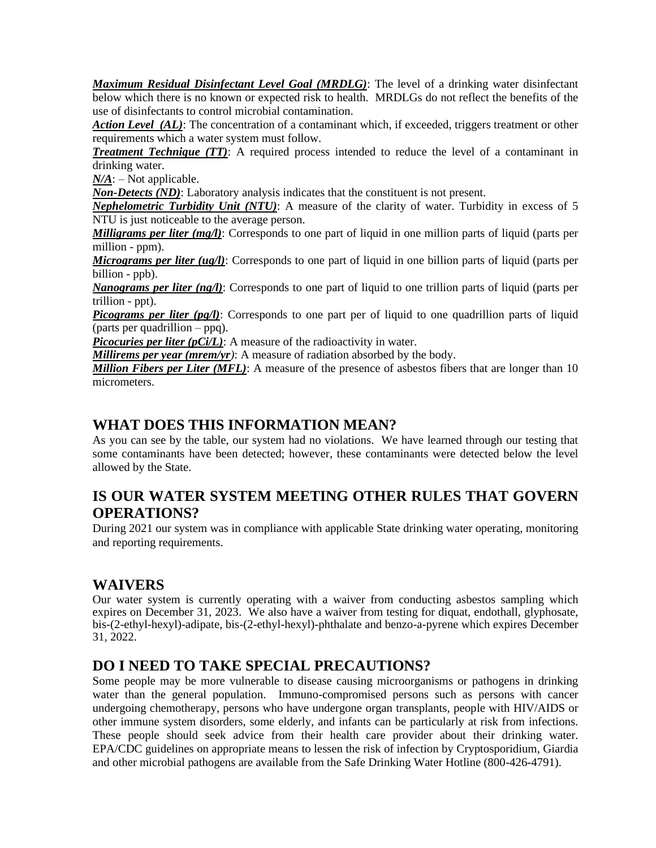*Maximum Residual Disinfectant Level Goal (MRDLG)*: The level of a drinking water disinfectant below which there is no known or expected risk to health. MRDLGs do not reflect the benefits of the use of disinfectants to control microbial contamination.

*Action Level (AL)*: The concentration of a contaminant which, if exceeded, triggers treatment or other requirements which a water system must follow.

*Treatment Technique (TT)*: A required process intended to reduce the level of a contaminant in drinking water.

*N/A*: – Not applicable.

*Non-Detects (ND)*: Laboratory analysis indicates that the constituent is not present.

*Nephelometric Turbidity Unit (NTU)*: A measure of the clarity of water. Turbidity in excess of 5 NTU is just noticeable to the average person.

*Milligrams per liter (mg/l)*: Corresponds to one part of liquid in one million parts of liquid (parts per million - ppm).

*Micrograms per liter (ug/l)*: Corresponds to one part of liquid in one billion parts of liquid (parts per billion - ppb).

*Nanograms per liter (ng/l)*: Corresponds to one part of liquid to one trillion parts of liquid (parts per trillion - ppt).

*Picograms per liter (pg/l)*: Corresponds to one part per of liquid to one quadrillion parts of liquid (parts per quadrillion – ppq).

*Picocuries per liter (pCi/L)*: A measure of the radioactivity in water.

*Millirems per year (mrem/yr)*: A measure of radiation absorbed by the body.

*Million Fibers per Liter (MFL)*: A measure of the presence of asbestos fibers that are longer than 10 micrometers.

### **WHAT DOES THIS INFORMATION MEAN?**

As you can see by the table, our system had no violations. We have learned through our testing that some contaminants have been detected; however, these contaminants were detected below the level allowed by the State.

### **IS OUR WATER SYSTEM MEETING OTHER RULES THAT GOVERN OPERATIONS?**

During 2021 our system was in compliance with applicable State drinking water operating, monitoring and reporting requirements.

### **WAIVERS**

Our water system is currently operating with a waiver from conducting asbestos sampling which expires on December 31, 2023. We also have a waiver from testing for diquat, endothall, glyphosate, bis-(2-ethyl-hexyl)-adipate, bis-(2-ethyl-hexyl)-phthalate and benzo-a-pyrene which expires December 31, 2022.

### **DO I NEED TO TAKE SPECIAL PRECAUTIONS?**

Some people may be more vulnerable to disease causing microorganisms or pathogens in drinking water than the general population. Immuno-compromised persons such as persons with cancer undergoing chemotherapy, persons who have undergone organ transplants, people with HIV/AIDS or other immune system disorders, some elderly, and infants can be particularly at risk from infections. These people should seek advice from their health care provider about their drinking water. EPA/CDC guidelines on appropriate means to lessen the risk of infection by Cryptosporidium, Giardia and other microbial pathogens are available from the Safe Drinking Water Hotline (800-426-4791).